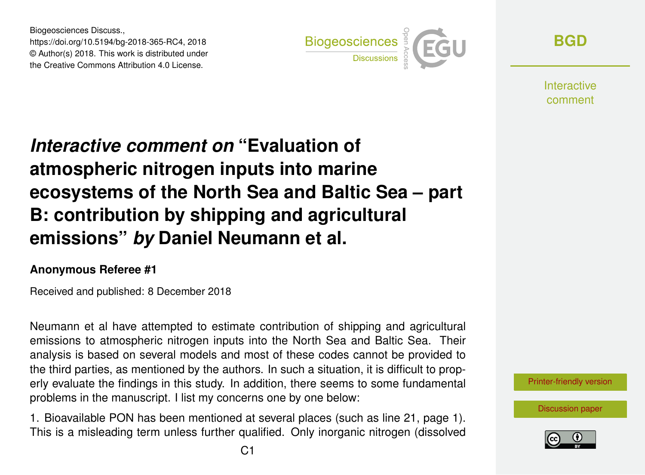Biogeosciences Discuss., https://doi.org/10.5194/bg-2018-365-RC4, 2018 © Author(s) 2018. This work is distributed under the Creative Commons Attribution 4.0 License.



**[BGD](https://www.biogeosciences-discuss.net/)**

**Interactive** comment

## *Interactive comment on* **"Evaluation of atmospheric nitrogen inputs into marine ecosystems of the North Sea and Baltic Sea – part B: contribution by shipping and agricultural emissions"** *by* **Daniel Neumann et al.**

## **Anonymous Referee #1**

Received and published: 8 December 2018

Neumann et al have attempted to estimate contribution of shipping and agricultural emissions to atmospheric nitrogen inputs into the North Sea and Baltic Sea. Their analysis is based on several models and most of these codes cannot be provided to the third parties, as mentioned by the authors. In such a situation, it is difficult to properly evaluate the findings in this study. In addition, there seems to some fundamental problems in the manuscript. I list my concerns one by one below:

1. Bioavailable PON has been mentioned at several places (such as line 21, page 1). This is a misleading term unless further qualified. Only inorganic nitrogen (dissolved



[Discussion paper](https://www.biogeosciences-discuss.net/bg-2018-365)